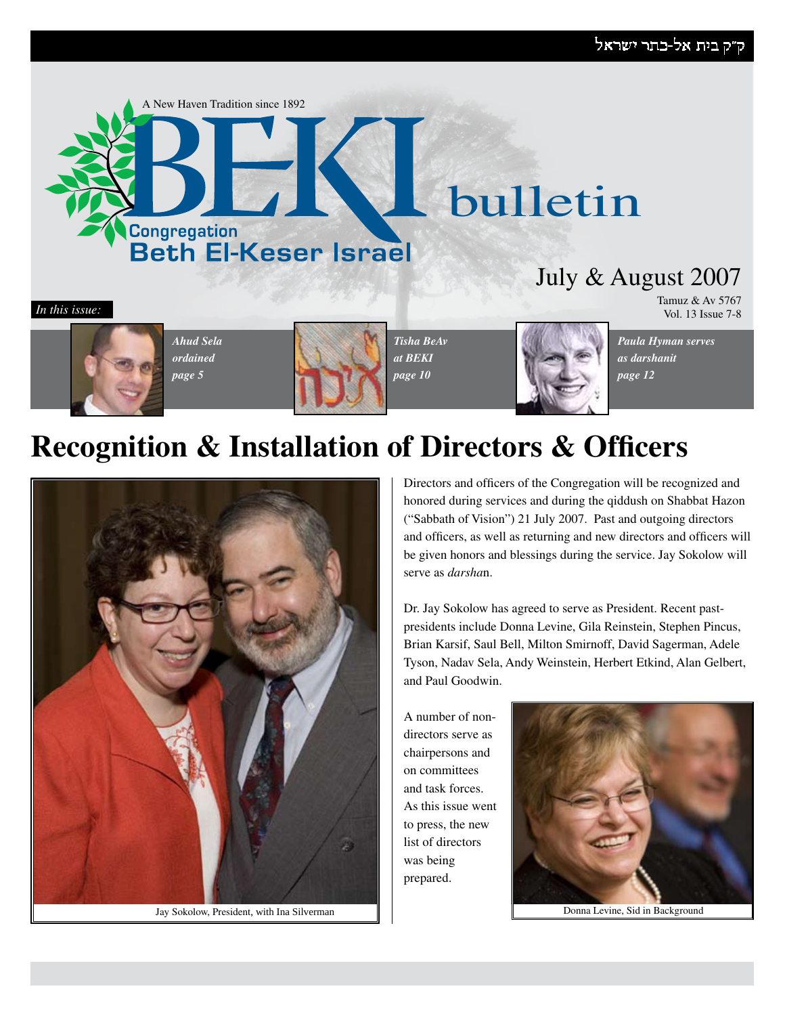### ק״ק בית אל-כתר ישראל





*Ahud Sela ordained page 5*



*Tisha BeAv at BEKI page 10*



*Paula Hyman serves as darshanit page 12*

Tamuz & Av 5767

# **Recognition & Installation of Directors & Officers**



Jay Sokolow, President, with Ina Silverman Donna Levine, Sid in Background

Directors and officers of the Congregation will be recognized and honored during services and during the qiddush on Shabbat Hazon ("Sabbath of Vision") 21 July 2007. Past and outgoing directors and officers, as well as returning and new directors and officers will be given honors and blessings during the service. Jay Sokolow will serve as *darsha*n.

Dr. Jay Sokolow has agreed to serve as President. Recent pastpresidents include Donna Levine, Gila Reinstein, Stephen Pincus, Brian Karsif, Saul Bell, Milton Smirnoff, David Sagerman, Adele Tyson, Nadav Sela, Andy Weinstein, Herbert Etkind, Alan Gelbert, and Paul Goodwin.

A number of nondirectors serve as chairpersons and on committees and task forces. As this issue went to press, the new list of directors was being prepared.

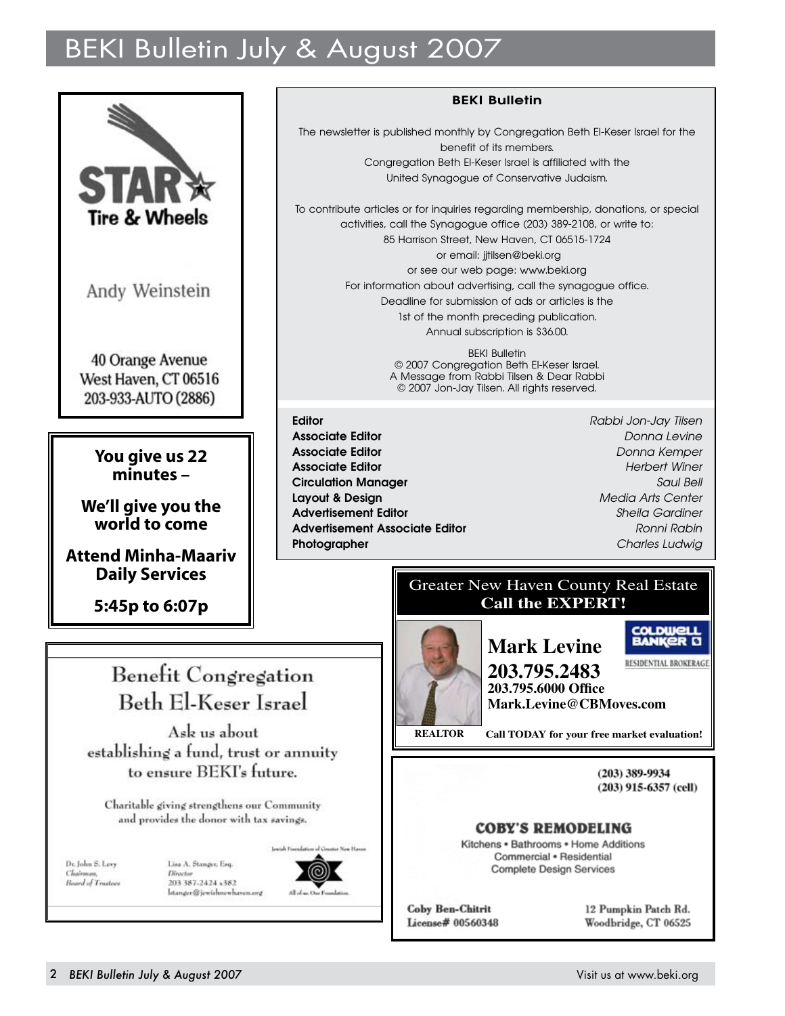# BEKI Bulletin July & August 2007



Andy Weinstein

40 Orange Avenue West Haven, CT 06516 203-933-AUTO (2886)

> **You give us 22 minutes –**

**We'll give you the world to come**

**Attend Minha-Maariv Daily Services**

**5:45p to 6:07p**

# Benefit Congregation Beth El-Keser Israel

Ask us about establishing a fund, trust or annuity to ensure BEKI's future.

Charitable giving strengthens our Community and provides the donor with tax savings.

Dr. John S. Levy Board of Trustees Lisa A. Stanger, Esq. Directo 203 387-2424 x382 Istanger@jewishnewhaven.org



#### **BEKI Bulletin**

The newsletter is published monthly by Congregation Beth El-Keser Israel for the benefit of its members. Congregation Beth El-Keser Israel is affiliated with the United Synagogue of Conservative Judaism.

To contribute articles or for inquiries regarding membership, donations, or special activities, call the Synagogue office (203) 389-2108, or write to: 85 Harrison Street, New Haven, CT 06515-1724 or email: jitilsen@beki.org or see our web page: www.beki.org For information about advertising, call the synagogue office. Deadline for submission of ads or articles is the 1st of the month preceding publication. Annual subscription is \$36.00.

> BEKI Bulletin © 2007 Congregation Beth El-Keser Israel. A Message from Rabbi Tilsen & Dear Rabbi © 2007 Jon-Jay Tilsen. All rights reserved.

**Editor** *Rabbi Jon-Jay Tilsen* **Associate Editor** *Donna Levine* **Associate Editor** *Donna Kemper* **Associate Editor** *Herbert Winer* **Circulation Manager** *Saul Bell* **Layout & Design** *Media Arts Center* **Advertisement Editor** *Sheila Gardiner* **Advertisement Associate Editor** *Ronni Rabin* **Photographer** *Charles Ludwig*

#### Greater New Haven County Real Estate **Call the EXPERT!**



**COLDWELL BANKER D Mark Levine** RESIDENTIAL BROKERAGE **203.795.2483 203.795.6000 Office Mark.Levine@CBMoves.com**

**Call TODAY for your free market evaluation!**

 $(203)$  389-9934 (203) 915-6357 (cell)

#### **COBY'S REMODELING**

Kitchens . Bathrooms . Home Additions Commercial . Residential **Complete Design Services** 

**Coby Ben-Chitrit** License# 00560348 12 Pumpkin Patch Rd. Woodbridge, CT 06525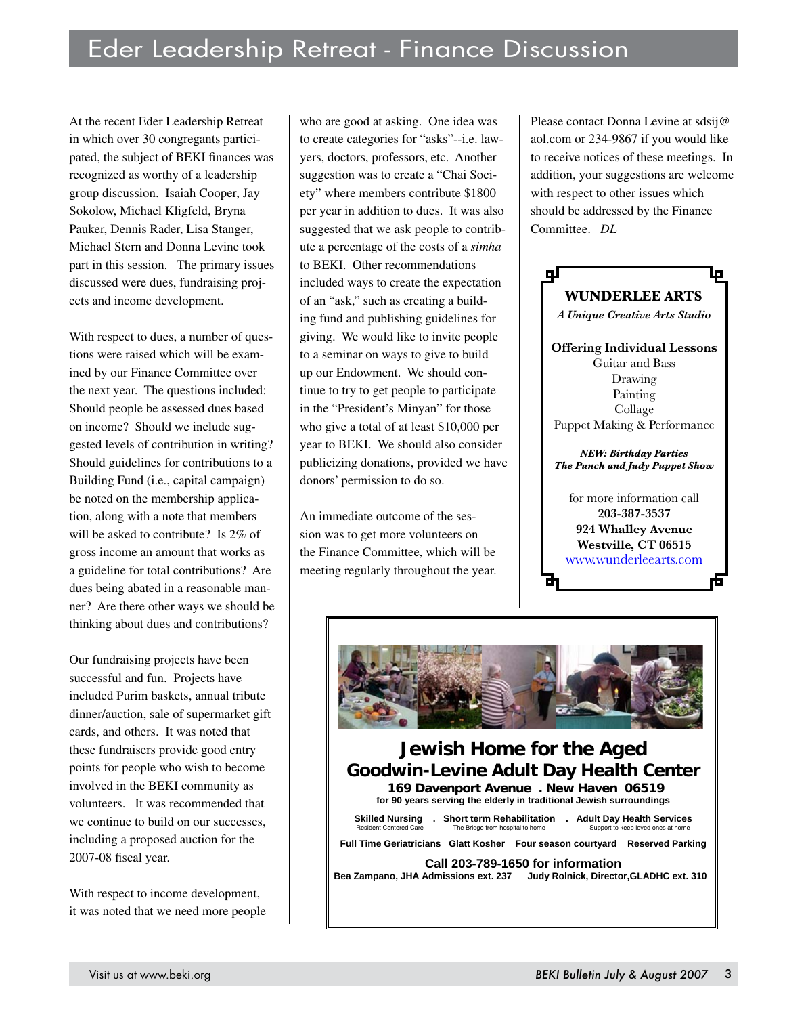At the recent Eder Leadership Retreat in which over 30 congregants participated, the subject of BEKI finances was recognized as worthy of a leadership group discussion. Isaiah Cooper, Jay Sokolow, Michael Kligfeld, Bryna Pauker, Dennis Rader, Lisa Stanger, Michael Stern and Donna Levine took part in this session. The primary issues discussed were dues, fundraising projects and income development.

With respect to dues, a number of questions were raised which will be examined by our Finance Committee over the next year. The questions included: Should people be assessed dues based on income? Should we include suggested levels of contribution in writing? Should guidelines for contributions to a Building Fund (i.e., capital campaign) be noted on the membership application, along with a note that members will be asked to contribute? Is 2% of gross income an amount that works as a guideline for total contributions? Are dues being abated in a reasonable manner? Are there other ways we should be thinking about dues and contributions?

Our fundraising projects have been successful and fun. Projects have included Purim baskets, annual tribute dinner/auction, sale of supermarket gift cards, and others. It was noted that these fundraisers provide good entry points for people who wish to become involved in the BEKI community as volunteers. It was recommended that we continue to build on our successes, including a proposed auction for the 2007-08 fiscal year.

With respect to income development, it was noted that we need more people

who are good at asking. One idea was to create categories for "asks"--i.e. lawyers, doctors, professors, etc. Another suggestion was to create a "Chai Society" where members contribute \$1800 per year in addition to dues. It was also suggested that we ask people to contribute a percentage of the costs of a *simha* to BEKI. Other recommendations included ways to create the expectation of an "ask," such as creating a building fund and publishing guidelines for giving. We would like to invite people to a seminar on ways to give to build up our Endowment. We should continue to try to get people to participate in the "President's Minyan" for those who give a total of at least \$10,000 per year to BEKI. We should also consider publicizing donations, provided we have donors' permission to do so.

An immediate outcome of the session was to get more volunteers on the Finance Committee, which will be meeting regularly throughout the year. Please contact Donna Levine at sdsij@ aol.com or 234-9867 if you would like to receive notices of these meetings. In addition, your suggestions are welcome with respect to other issues which should be addressed by the Finance Committee. *DL*





#### **Jewish Home for the Aged Goodwin-Levine Adult Day Health Center 169 Davenport Avenue . New Haven 06519 for 90 years serving the elderly in traditional Jewish surroundings Skilled Nursing . Short term Rehabilitation . Adult Day Health Services**  Resident Centered Care The Bridge from hospital to home Support to keep loved ones at home **Full Time Geriatricians Glatt Kosher Four season courtyard Reserved Parking Call 203-789-1650 for information Bea Zampano, JHA Admissions ext. 237 Judy Rolnick, Director,GLADHC ext. 310**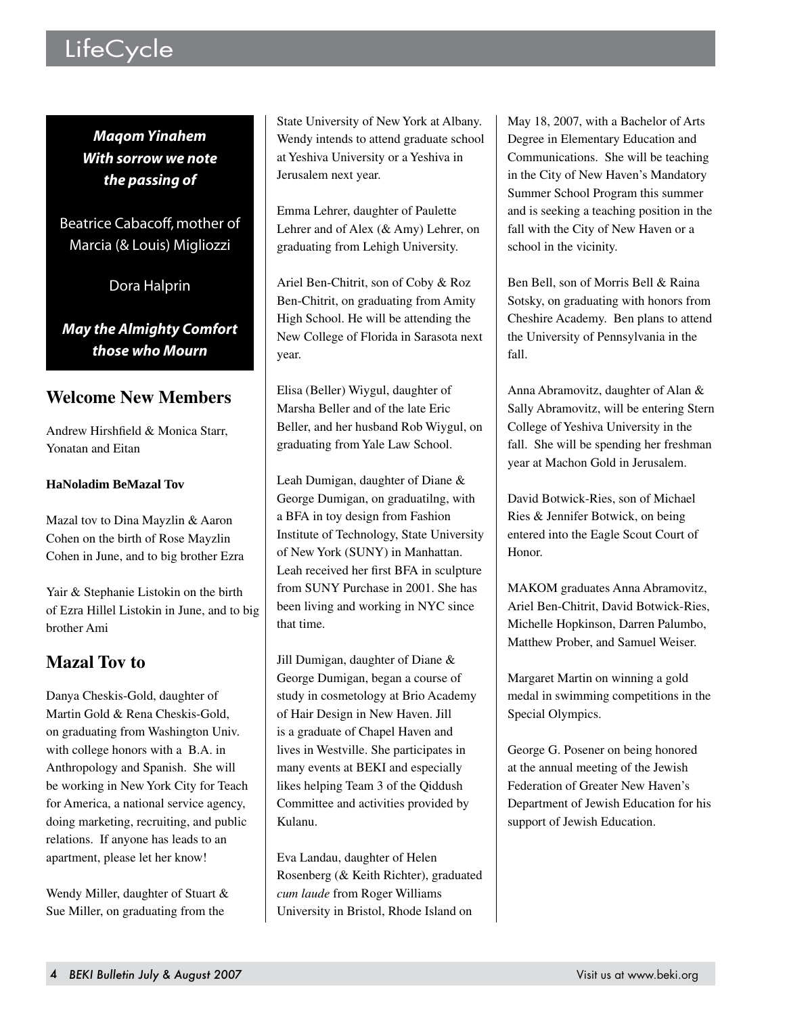# LifeCycle

*Maqom Yinahem With sorrow we note the passing of*

Beatrice Cabacoff, mother of Marcia (& Louis) Migliozzi

Dora Halprin

*May the Almighty Comfort those who Mourn*

### **Welcome New Members**

Andrew Hirshfield & Monica Starr, Yonatan and Eitan

#### **HaNoladim BeMazal Tov**

Mazal tov to Dina Mayzlin & Aaron Cohen on the birth of Rose Mayzlin Cohen in June, and to big brother Ezra

Yair & Stephanie Listokin on the birth of Ezra Hillel Listokin in June, and to big brother Ami

# **Mazal Tov to**

Danya Cheskis-Gold, daughter of Martin Gold & Rena Cheskis-Gold, on graduating from Washington Univ. with college honors with a B.A. in Anthropology and Spanish. She will be working in New York City for Teach for America, a national service agency, doing marketing, recruiting, and public relations. If anyone has leads to an apartment, please let her know!

Wendy Miller, daughter of Stuart & Sue Miller, on graduating from the

State University of New York at Albany. Wendy intends to attend graduate school at Yeshiva University or a Yeshiva in Jerusalem next year.

Emma Lehrer, daughter of Paulette Lehrer and of Alex (& Amy) Lehrer, on graduating from Lehigh University.

Ariel Ben-Chitrit, son of Coby & Roz Ben-Chitrit, on graduating from Amity High School. He will be attending the New College of Florida in Sarasota next year.

Elisa (Beller) Wiygul, daughter of Marsha Beller and of the late Eric Beller, and her husband Rob Wiygul, on graduating from Yale Law School.

Leah Dumigan, daughter of Diane & George Dumigan, on graduatilng, with a BFA in toy design from Fashion Institute of Technology, State University of New York (SUNY) in Manhattan. Leah received her first BFA in sculpture from SUNY Purchase in 2001. She has been living and working in NYC since that time.

Jill Dumigan, daughter of Diane & George Dumigan, began a course of study in cosmetology at Brio Academy of Hair Design in New Haven. Jill is a graduate of Chapel Haven and lives in Westville. She participates in many events at BEKI and especially likes helping Team 3 of the Qiddush Committee and activities provided by Kulanu.

Eva Landau, daughter of Helen Rosenberg (& Keith Richter), graduated *cum laude* from Roger Williams University in Bristol, Rhode Island on

May 18, 2007, with a Bachelor of Arts Degree in Elementary Education and Communications. She will be teaching in the City of New Haven's Mandatory Summer School Program this summer and is seeking a teaching position in the fall with the City of New Haven or a school in the vicinity.

Ben Bell, son of Morris Bell & Raina Sotsky, on graduating with honors from Cheshire Academy. Ben plans to attend the University of Pennsylvania in the fall.

Anna Abramovitz, daughter of Alan & Sally Abramovitz, will be entering Stern College of Yeshiva University in the fall. She will be spending her freshman year at Machon Gold in Jerusalem.

David Botwick-Ries, son of Michael Ries & Jennifer Botwick, on being entered into the Eagle Scout Court of Honor.

MAKOM graduates Anna Abramovitz, Ariel Ben-Chitrit, David Botwick-Ries, Michelle Hopkinson, Darren Palumbo, Matthew Prober, and Samuel Weiser.

Margaret Martin on winning a gold medal in swimming competitions in the Special Olympics.

George G. Posener on being honored at the annual meeting of the Jewish Federation of Greater New Haven's Department of Jewish Education for his support of Jewish Education.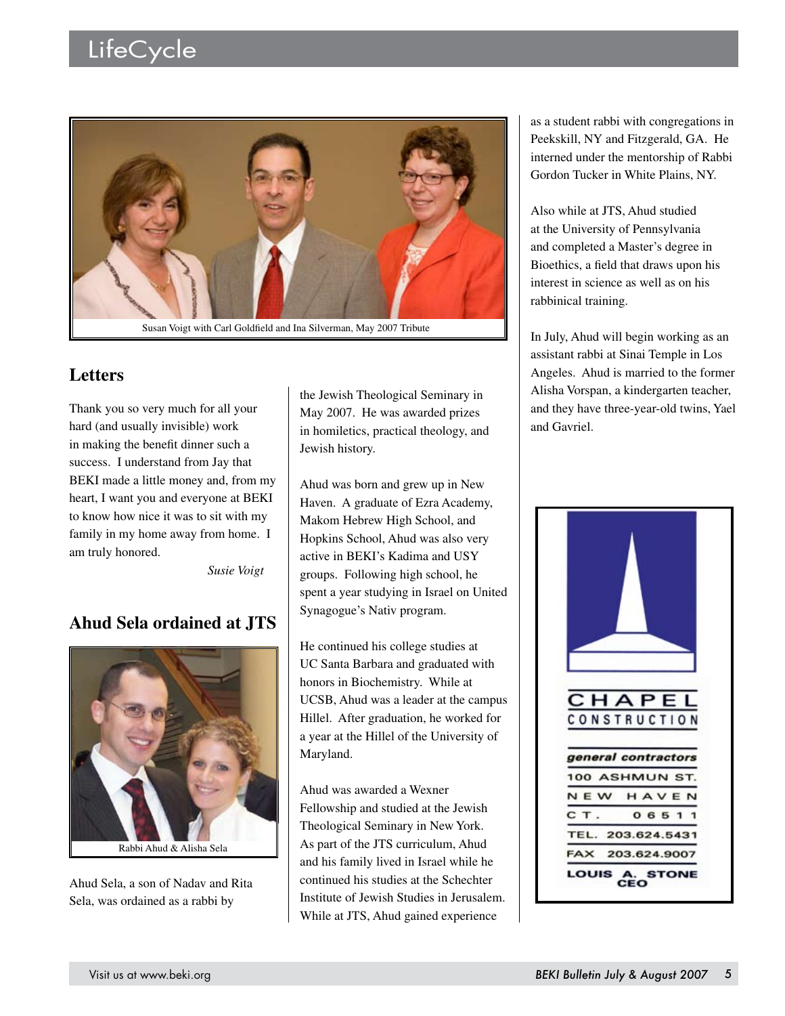# LifeCycle



### **Letters**

Thank you so very much for all your hard (and usually invisible) work in making the benefit dinner such a success. I understand from Jay that BEKI made a little money and, from my heart, I want you and everyone at BEKI to know how nice it was to sit with my family in my home away from home. I am truly honored.

*Susie Voigt*

# **Ahud Sela ordained at JTS**



Ahud Sela, a son of Nadav and Rita Sela, was ordained as a rabbi by

the Jewish Theological Seminary in May 2007. He was awarded prizes in homiletics, practical theology, and Jewish history.

Ahud was born and grew up in New Haven. A graduate of Ezra Academy, Makom Hebrew High School, and Hopkins School, Ahud was also very active in BEKI's Kadima and USY groups. Following high school, he spent a year studying in Israel on United Synagogue's Nativ program.

He continued his college studies at UC Santa Barbara and graduated with honors in Biochemistry. While at UCSB, Ahud was a leader at the campus Hillel. After graduation, he worked for a year at the Hillel of the University of Maryland.

Ahud was awarded a Wexner Fellowship and studied at the Jewish Theological Seminary in New York. As part of the JTS curriculum, Ahud and his family lived in Israel while he continued his studies at the Schechter Institute of Jewish Studies in Jerusalem. While at JTS, Ahud gained experience

as a student rabbi with congregations in Peekskill, NY and Fitzgerald, GA. He interned under the mentorship of Rabbi Gordon Tucker in White Plains, NY.

Also while at JTS, Ahud studied at the University of Pennsylvania and completed a Master's degree in Bioethics, a field that draws upon his interest in science as well as on his rabbinical training.

In July, Ahud will begin working as an assistant rabbi at Sinai Temple in Los Angeles. Ahud is married to the former Alisha Vorspan, a kindergarten teacher, and they have three-year-old twins, Yael and Gavriel.

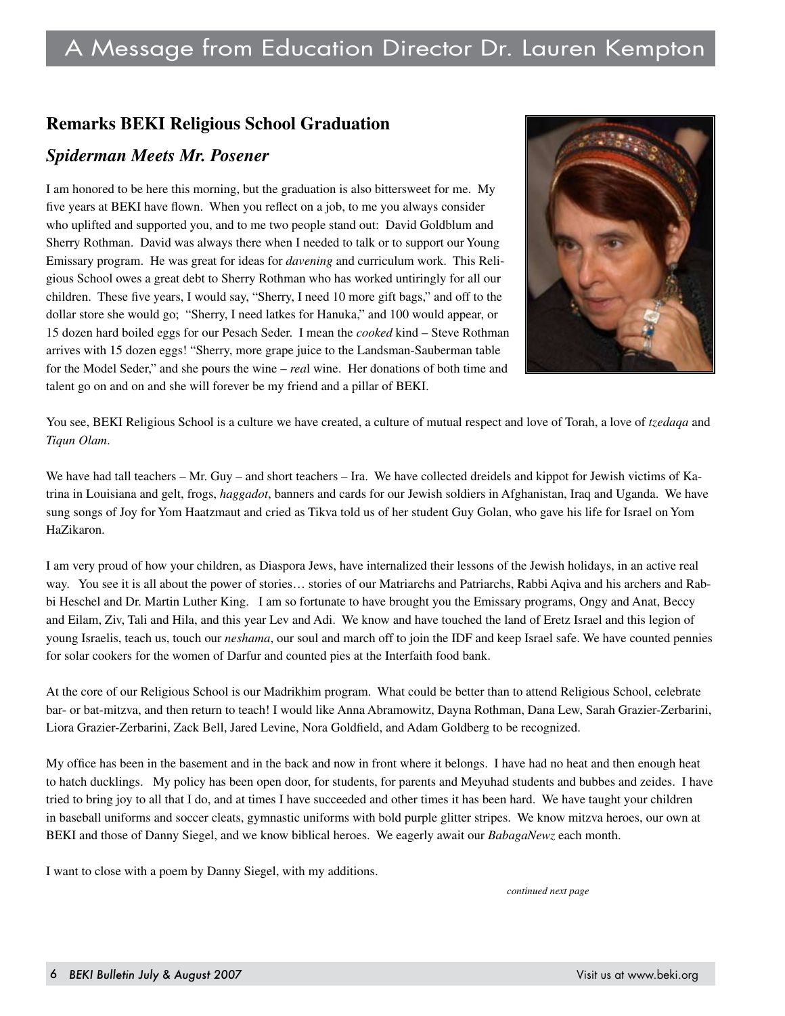#### **Remarks BEKI Religious School Graduation**

#### *Spiderman Meets Mr. Posener*

I am honored to be here this morning, but the graduation is also bittersweet for me. My five years at BEKI have flown. When you reflect on a job, to me you always consider who uplifted and supported you, and to me two people stand out: David Goldblum and Sherry Rothman. David was always there when I needed to talk or to support our Young Emissary program. He was great for ideas for *davening* and curriculum work. This Religious School owes a great debt to Sherry Rothman who has worked untiringly for all our children. These five years, I would say, "Sherry, I need 10 more gift bags," and off to the dollar store she would go; "Sherry, I need latkes for Hanuka," and 100 would appear, or 15 dozen hard boiled eggs for our Pesach Seder. I mean the *cooked* kind – Steve Rothman arrives with 15 dozen eggs! "Sherry, more grape juice to the Landsman-Sauberman table for the Model Seder," and she pours the wine – *rea*l wine. Her donations of both time and talent go on and on and she will forever be my friend and a pillar of BEKI.



You see, BEKI Religious School is a culture we have created, a culture of mutual respect and love of Torah, a love of *tzedaqa* and *Tiqun Olam*.

We have had tall teachers – Mr. Guy – and short teachers – Ira. We have collected dreidels and kippot for Jewish victims of Katrina in Louisiana and gelt, frogs, *haggadot*, banners and cards for our Jewish soldiers in Afghanistan, Iraq and Uganda. We have sung songs of Joy for Yom Haatzmaut and cried as Tikva told us of her student Guy Golan, who gave his life for Israel on Yom HaZikaron.

I am very proud of how your children, as Diaspora Jews, have internalized their lessons of the Jewish holidays, in an active real way. You see it is all about the power of stories… stories of our Matriarchs and Patriarchs, Rabbi Aqiva and his archers and Rabbi Heschel and Dr. Martin Luther King. I am so fortunate to have brought you the Emissary programs, Ongy and Anat, Beccy and Eilam, Ziv, Tali and Hila, and this year Lev and Adi. We know and have touched the land of Eretz Israel and this legion of young Israelis, teach us, touch our *neshama*, our soul and march off to join the IDF and keep Israel safe. We have counted pennies for solar cookers for the women of Darfur and counted pies at the Interfaith food bank.

At the core of our Religious School is our Madrikhim program. What could be better than to attend Religious School, celebrate bar- or bat-mitzva, and then return to teach! I would like Anna Abramowitz, Dayna Rothman, Dana Lew, Sarah Grazier-Zerbarini, Liora Grazier-Zerbarini, Zack Bell, Jared Levine, Nora Goldfield, and Adam Goldberg to be recognized.

My office has been in the basement and in the back and now in front where it belongs. I have had no heat and then enough heat to hatch ducklings. My policy has been open door, for students, for parents and Meyuhad students and bubbes and zeides. I have tried to bring joy to all that I do, and at times I have succeeded and other times it has been hard. We have taught your children in baseball uniforms and soccer cleats, gymnastic uniforms with bold purple glitter stripes. We know mitzva heroes, our own at BEKI and those of Danny Siegel, and we know biblical heroes. We eagerly await our *BabagaNewz* each month.

I want to close with a poem by Danny Siegel, with my additions.

*continued next page*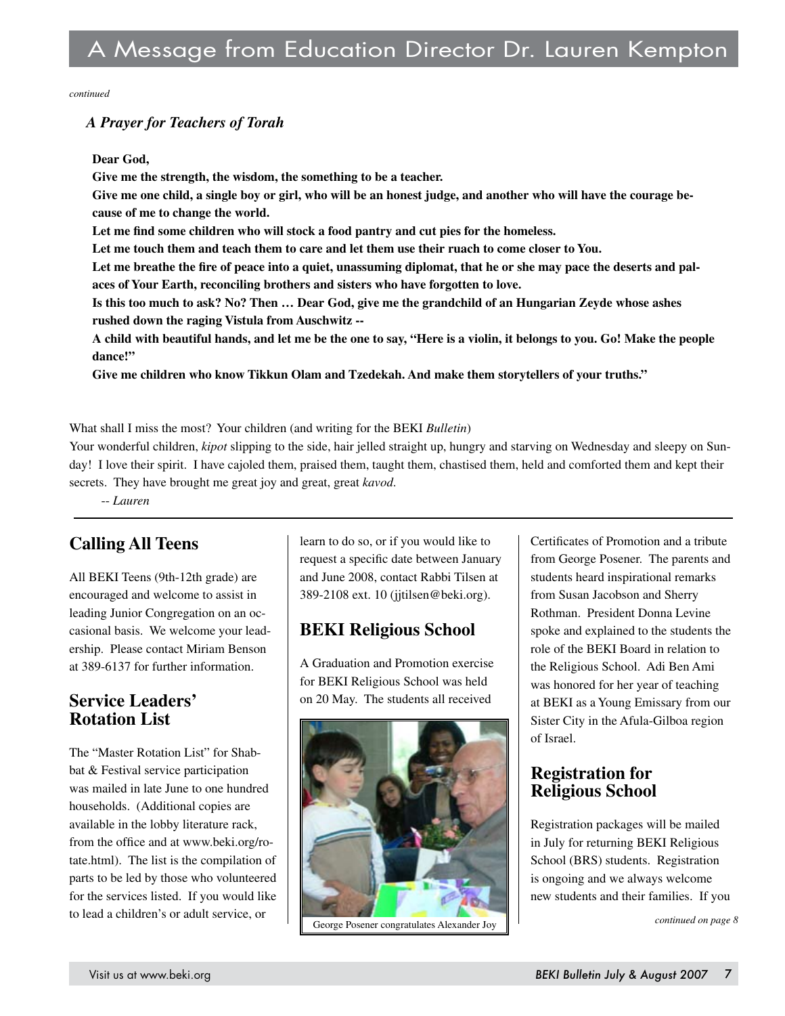*continued*

#### *A Prayer for Teachers of Torah*

#### **Dear God,**

**Give me the strength, the wisdom, the something to be a teacher.**

**Give me one child, a single boy or girl, who will be an honest judge, and another who will have the courage because of me to change the world.**

**Let me find some children who will stock a food pantry and cut pies for the homeless.**

**Let me touch them and teach them to care and let them use their ruach to come closer to You.**

Let me breathe the fire of peace into a quiet, unassuming diplomat, that he or she may pace the deserts and pal**aces of Your Earth, reconciling brothers and sisters who have forgotten to love.**

**Is this too much to ask? No? Then … Dear God, give me the grandchild of an Hungarian Zeyde whose ashes rushed down the raging Vistula from Auschwitz --**

**A child with beautiful hands, and let me be the one to say, "Here is a violin, it belongs to you. Go! Make the people dance!"**

**Give me children who know Tikkun Olam and Tzedekah. And make them storytellers of your truths."**

What shall I miss the most? Your children (and writing for the BEKI *Bulletin*)

Your wonderful children, *kipot* slipping to the side, hair jelled straight up, hungry and starving on Wednesday and sleepy on Sunday! I love their spirit. I have cajoled them, praised them, taught them, chastised them, held and comforted them and kept their secrets. They have brought me great joy and great, great *kavod*.

-- *Lauren*

# **Calling All Teens**

All BEKI Teens (9th-12th grade) are encouraged and welcome to assist in leading Junior Congregation on an occasional basis. We welcome your leadership. Please contact Miriam Benson at 389-6137 for further information.

#### **Service Leaders' Rotation List**

The "Master Rotation List" for Shabbat & Festival service participation was mailed in late June to one hundred households. (Additional copies are available in the lobby literature rack, from the office and at www.beki.org/rotate.html). The list is the compilation of parts to be led by those who volunteered for the services listed. If you would like to lead a children's or adult service, or

learn to do so, or if you would like to request a specific date between January and June 2008, contact Rabbi Tilsen at 389-2108 ext. 10 (jjtilsen@beki.org).

# **BEKI Religious School**

A Graduation and Promotion exercise for BEKI Religious School was held on 20 May. The students all received



Certificates of Promotion and a tribute from George Posener. The parents and students heard inspirational remarks from Susan Jacobson and Sherry Rothman. President Donna Levine spoke and explained to the students the role of the BEKI Board in relation to the Religious School. Adi Ben Ami was honored for her year of teaching at BEKI as a Young Emissary from our Sister City in the Afula-Gilboa region of Israel.

#### **Registration for Religious School**

Registration packages will be mailed in July for returning BEKI Religious School (BRS) students. Registration is ongoing and we always welcome new students and their families. If you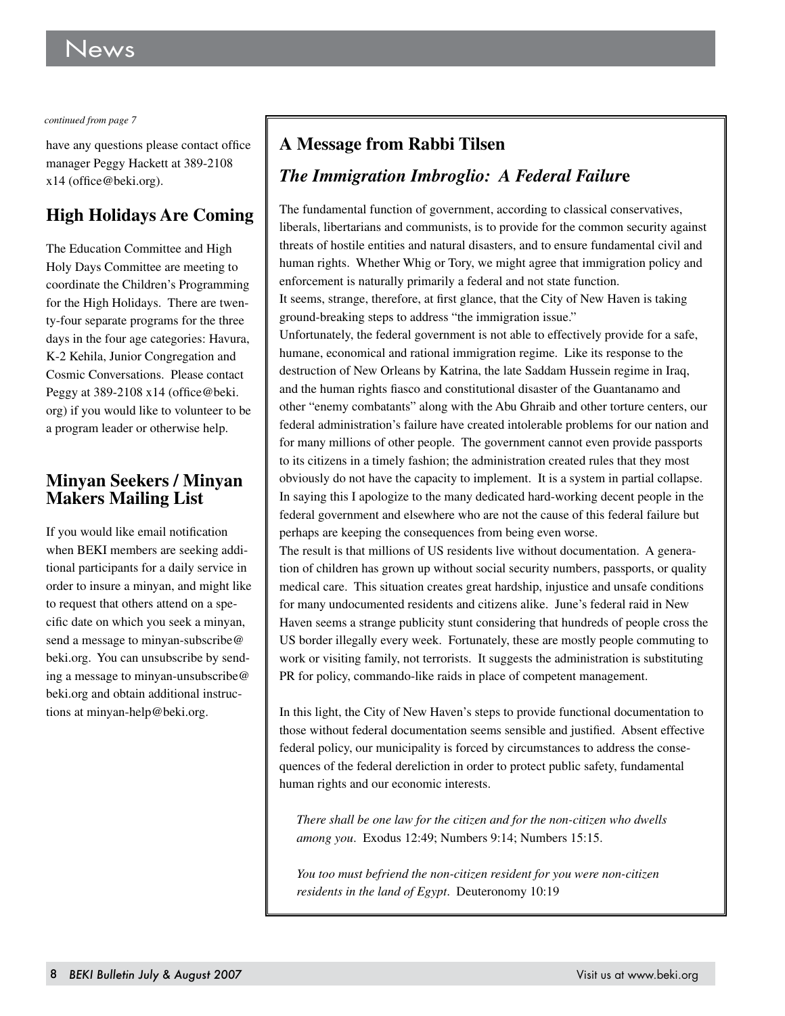*continued from page 7*

have any questions please contact office manager Peggy Hackett at 389-2108 x14 (office@beki.org).

# **High Holidays Are Coming**

The Education Committee and High Holy Days Committee are meeting to coordinate the Children's Programming for the High Holidays. There are twenty-four separate programs for the three days in the four age categories: Havura, K-2 Kehila, Junior Congregation and Cosmic Conversations. Please contact Peggy at 389-2108 x14 (office@beki. org) if you would like to volunteer to be a program leader or otherwise help.

#### **Minyan Seekers / Minyan Makers Mailing List**

If you would like email notification when BEKI members are seeking additional participants for a daily service in order to insure a minyan, and might like to request that others attend on a specific date on which you seek a minyan, send a message to minyan-subscribe@ beki.org. You can unsubscribe by sending a message to minyan-unsubscribe@ beki.org and obtain additional instructions at minyan-help@beki.org.

# **A Message from Rabbi Tilsen**

# *The Immigration Imbroglio: A Federal Failur***e**

The fundamental function of government, according to classical conservatives, liberals, libertarians and communists, is to provide for the common security against threats of hostile entities and natural disasters, and to ensure fundamental civil and human rights. Whether Whig or Tory, we might agree that immigration policy and enforcement is naturally primarily a federal and not state function. It seems, strange, therefore, at first glance, that the City of New Haven is taking ground-breaking steps to address "the immigration issue."

Unfortunately, the federal government is not able to effectively provide for a safe, humane, economical and rational immigration regime. Like its response to the destruction of New Orleans by Katrina, the late Saddam Hussein regime in Iraq, and the human rights fiasco and constitutional disaster of the Guantanamo and other "enemy combatants" along with the Abu Ghraib and other torture centers, our federal administration's failure have created intolerable problems for our nation and for many millions of other people. The government cannot even provide passports to its citizens in a timely fashion; the administration created rules that they most obviously do not have the capacity to implement. It is a system in partial collapse. In saying this I apologize to the many dedicated hard-working decent people in the federal government and elsewhere who are not the cause of this federal failure but perhaps are keeping the consequences from being even worse.

The result is that millions of US residents live without documentation. A generation of children has grown up without social security numbers, passports, or quality medical care. This situation creates great hardship, injustice and unsafe conditions for many undocumented residents and citizens alike. June's federal raid in New Haven seems a strange publicity stunt considering that hundreds of people cross the US border illegally every week. Fortunately, these are mostly people commuting to work or visiting family, not terrorists. It suggests the administration is substituting PR for policy, commando-like raids in place of competent management.

In this light, the City of New Haven's steps to provide functional documentation to those without federal documentation seems sensible and justified. Absent effective federal policy, our municipality is forced by circumstances to address the consequences of the federal dereliction in order to protect public safety, fundamental human rights and our economic interests.

*There shall be one law for the citizen and for the non-citizen who dwells among you*. Exodus 12:49; Numbers 9:14; Numbers 15:15.

*You too must befriend the non-citizen resident for you were non-citizen residents in the land of Egypt*. Deuteronomy 10:19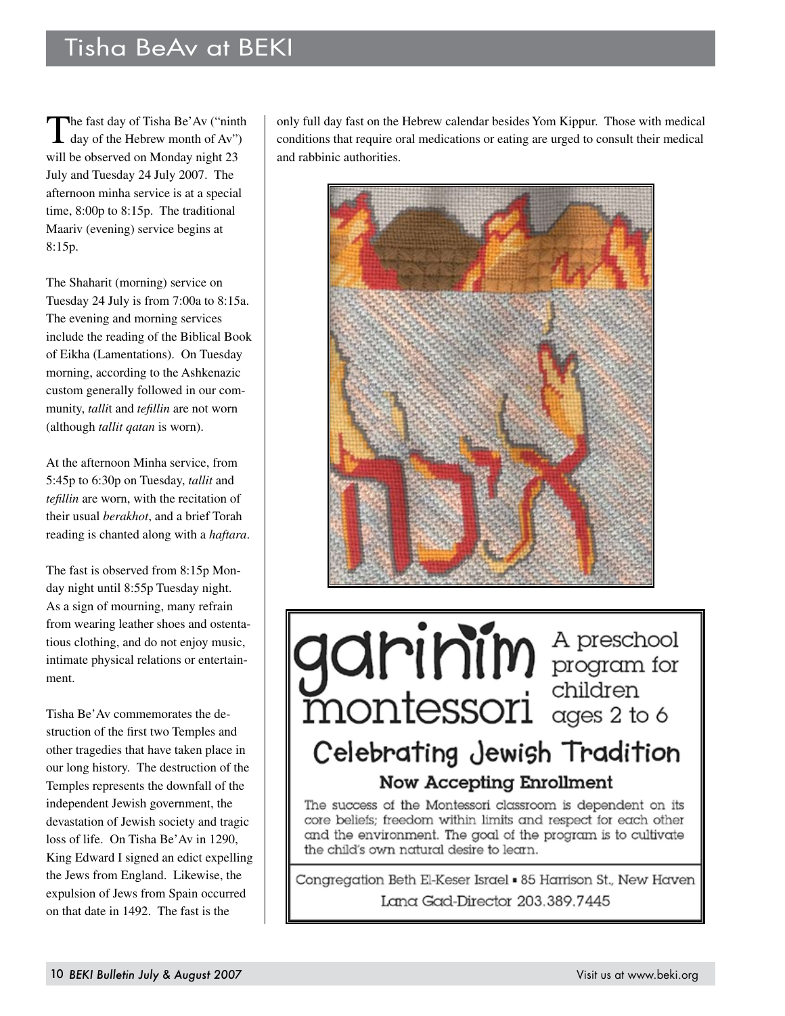# Tisha BeAv at BEKI

The fast day of Tisha Be'Av ("ninth")<br>day of the Hebrew month of Av") will be observed on Monday night 23 July and Tuesday 24 July 2007. The afternoon minha service is at a special time, 8:00p to 8:15p. The traditional Maariv (evening) service begins at 8:15p.

The Shaharit (morning) service on Tuesday 24 July is from 7:00a to 8:15a. The evening and morning services include the reading of the Biblical Book of Eikha (Lamentations). On Tuesday morning, according to the Ashkenazic custom generally followed in our community, *talli*t and *tefillin* are not worn (although *tallit qatan* is worn).

At the afternoon Minha service, from 5:45p to 6:30p on Tuesday, *tallit* and *tefillin* are worn, with the recitation of their usual *berakhot*, and a brief Torah reading is chanted along with a *haftara*.

The fast is observed from 8:15p Monday night until 8:55p Tuesday night. As a sign of mourning, many refrain from wearing leather shoes and ostentatious clothing, and do not enjoy music, intimate physical relations or entertainment.

Tisha Be'Av commemorates the destruction of the first two Temples and other tragedies that have taken place in our long history. The destruction of the Temples represents the downfall of the independent Jewish government, the devastation of Jewish society and tragic loss of life. On Tisha Be'Av in 1290, King Edward I signed an edict expelling the Jews from England. Likewise, the expulsion of Jews from Spain occurred on that date in 1492. The fast is the

only full day fast on the Hebrew calendar besides Yom Kippur. Those with medical conditions that require oral medications or eating are urged to consult their medical and rabbinic authorities.



garinin A preschool Celebrating Jewish Tradition Now Accepting Enrollment

The success of the Montessori classroom is dependent on its core beliefs; freedom within limits and respect for each other and the environment. The goal of the program is to cultivate the child's own natural desire to learn.

Congregation Beth El-Keser Israel . 85 Harrison St., New Haven Lana Gad-Director 203.389.7445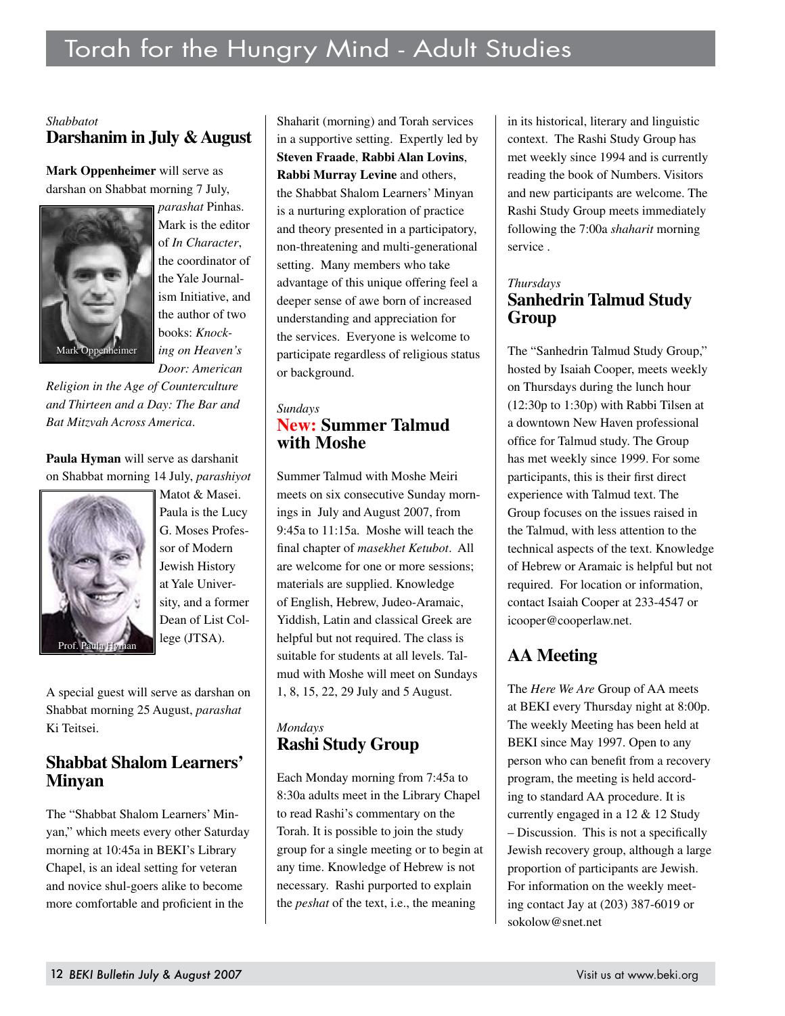#### *Shabbatot* **Darshanim in July & August**

**Mark Oppenheimer** will serve as darshan on Shabbat morning 7 July,



*parashat* Pinhas. Mark is the editor of *In Character*, the coordinator of the Yale Journalism Initiative, and the author of two books: *Knocking on Heaven's Door: American* 

*Religion in the Age of Counterculture and Thirteen and a Day: The Bar and Bat Mitzvah Across America*.

**Paula Hyman** will serve as darshanit on Shabbat morning 14 July, *parashiyot*



Matot & Masei. Paula is the Lucy G. Moses Professor of Modern Jewish History at Yale University, and a former Dean of List College (JTSA).

A special guest will serve as darshan on Shabbat morning 25 August, *parashat* Ki Teitsei.

#### **Shabbat Shalom Learners' Minyan**

The "Shabbat Shalom Learners' Minyan," which meets every other Saturday morning at 10:45a in BEKI's Library Chapel, is an ideal setting for veteran and novice shul-goers alike to become more comfortable and proficient in the

Shaharit (morning) and Torah services in a supportive setting. Expertly led by **Steven Fraade**, **Rabbi Alan Lovins**, **Rabbi Murray Levine** and others, the Shabbat Shalom Learners' Minyan is a nurturing exploration of practice and theory presented in a participatory, non-threatening and multi-generational setting. Many members who take advantage of this unique offering feel a deeper sense of awe born of increased understanding and appreciation for the services. Everyone is welcome to participate regardless of religious status or background.

#### *Sundays* **New: Summer Talmud with Moshe**

Summer Talmud with Moshe Meiri meets on six consecutive Sunday mornings in July and August 2007, from 9:45a to 11:15a. Moshe will teach the final chapter of *masekhet Ketubot*. All are welcome for one or more sessions; materials are supplied. Knowledge of English, Hebrew, Judeo-Aramaic, Yiddish, Latin and classical Greek are helpful but not required. The class is suitable for students at all levels. Talmud with Moshe will meet on Sundays 1, 8, 15, 22, 29 July and 5 August.

#### *Mondays* **Rashi Study Group**

Each Monday morning from 7:45a to 8:30a adults meet in the Library Chapel to read Rashi's commentary on the Torah. It is possible to join the study group for a single meeting or to begin at any time. Knowledge of Hebrew is not necessary. Rashi purported to explain the *peshat* of the text, i.e., the meaning

in its historical, literary and linguistic context. The Rashi Study Group has met weekly since 1994 and is currently reading the book of Numbers. Visitors and new participants are welcome. The Rashi Study Group meets immediately following the 7:00a *shaharit* morning service .

#### *Thursdays* **Sanhedrin Talmud Study Group**

The "Sanhedrin Talmud Study Group," hosted by Isaiah Cooper, meets weekly on Thursdays during the lunch hour (12:30p to 1:30p) with Rabbi Tilsen at a downtown New Haven professional office for Talmud study. The Group has met weekly since 1999. For some participants, this is their first direct experience with Talmud text. The Group focuses on the issues raised in the Talmud, with less attention to the technical aspects of the text. Knowledge of Hebrew or Aramaic is helpful but not required. For location or information, contact Isaiah Cooper at 233-4547 or icooper@cooperlaw.net.

# **AA Meeting**

The *Here We Are* Group of AA meets at BEKI every Thursday night at 8:00p. The weekly Meeting has been held at BEKI since May 1997. Open to any person who can benefit from a recovery program, the meeting is held according to standard AA procedure. It is currently engaged in a 12 & 12 Study – Discussion. This is not a specifically Jewish recovery group, although a large proportion of participants are Jewish. For information on the weekly meeting contact Jay at (203) 387-6019 or sokolow@snet.net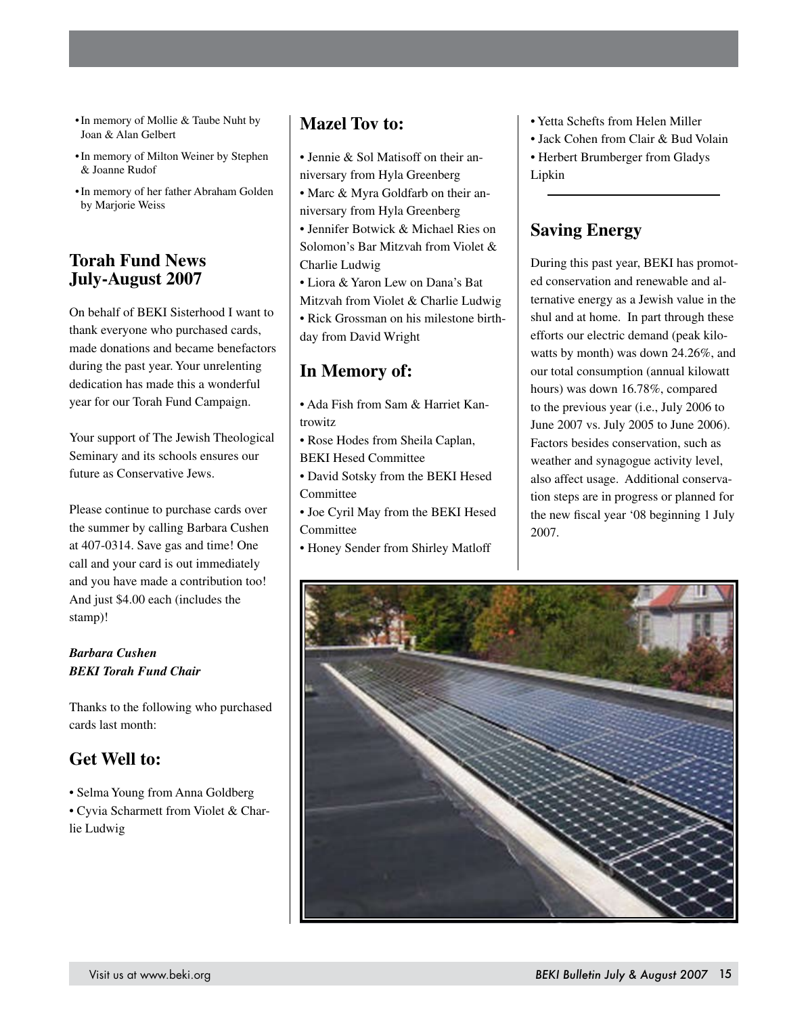- In memory of Mollie & Taube Nuht by Joan & Alan Gelbert
- In memory of Milton Weiner by Stephen & Joanne Rudof
- • In memory of her father Abraham Golden by Marjorie Weiss

#### **Torah Fund News July-August 2007**

On behalf of BEKI Sisterhood I want to thank everyone who purchased cards, made donations and became benefactors during the past year. Your unrelenting dedication has made this a wonderful year for our Torah Fund Campaign.

Your support of The Jewish Theological Seminary and its schools ensures our future as Conservative Jews.

Please continue to purchase cards over the summer by calling Barbara Cushen at 407-0314. Save gas and time! One call and your card is out immediately and you have made a contribution too! And just \$4.00 each (includes the stamp)!

#### *Barbara Cushen BEKI Torah Fund Chair*

Thanks to the following who purchased cards last month:

# **Get Well to:**

• Selma Young from Anna Goldberg • Cyvia Scharmett from Violet & Charlie Ludwig

### **Mazel Tov to:**

- Jennie & Sol Matisoff on their anniversary from Hyla Greenberg
- Marc & Myra Goldfarb on their anniversary from Hyla Greenberg

• Jennifer Botwick & Michael Ries on Solomon's Bar Mitzvah from Violet & Charlie Ludwig

• Liora & Yaron Lew on Dana's Bat Mitzvah from Violet & Charlie Ludwig • Rick Grossman on his milestone birthday from David Wright

# **In Memory of:**

- Ada Fish from Sam & Harriet Kantrowitz
- Rose Hodes from Sheila Caplan, BEKI Hesed Committee
- David Sotsky from the BEKI Hesed Committee
- Joe Cyril May from the BEKI Hesed Committee
- Honey Sender from Shirley Matloff

#### • Yetta Schefts from Helen Miller

- Jack Cohen from Clair & Bud Volain
- Herbert Brumberger from Gladys Lipkin

### **Saving Energy**

During this past year, BEKI has promoted conservation and renewable and alternative energy as a Jewish value in the shul and at home. In part through these efforts our electric demand (peak kilowatts by month) was down 24.26%, and our total consumption (annual kilowatt hours) was down 16.78%, compared to the previous year (i.e., July 2006 to June 2007 vs. July 2005 to June 2006). Factors besides conservation, such as weather and synagogue activity level, also affect usage. Additional conservation steps are in progress or planned for the new fiscal year '08 beginning 1 July 2007.

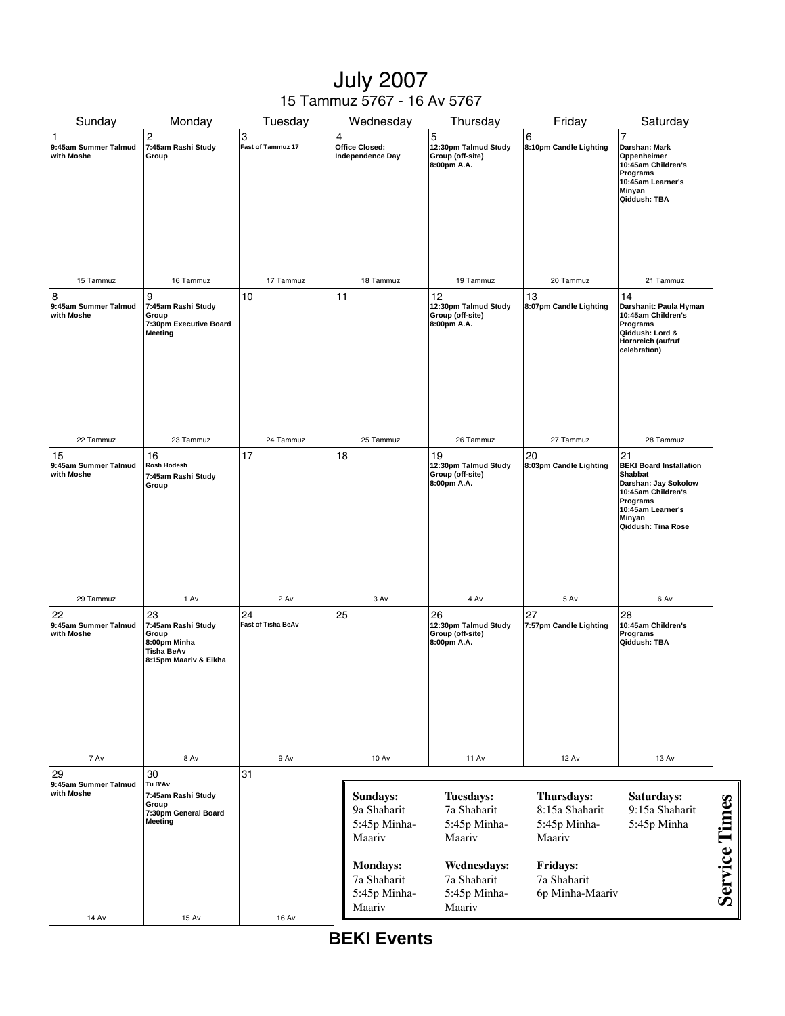# July 2007 15 Tammuz 5767 - 16 Av 5767

| Sunday                                             | Monday                                                                                   | Tuesday                         | Wednesday                                                                                              | Thursday                                                                                                                 | Friday                                                                                               | Saturday                                                                                                                                                              |                      |
|----------------------------------------------------|------------------------------------------------------------------------------------------|---------------------------------|--------------------------------------------------------------------------------------------------------|--------------------------------------------------------------------------------------------------------------------------|------------------------------------------------------------------------------------------------------|-----------------------------------------------------------------------------------------------------------------------------------------------------------------------|----------------------|
| $\mathbf{1}$<br>9:45am Summer Talmud<br>with Moshe | 2<br>7:45am Rashi Study<br>Group                                                         | 3<br>Fast of Tammuz 17          | $\overline{\mathbf{4}}$<br><b>Office Closed:</b><br>Independence Day                                   | 5<br>12:30pm Talmud Study<br>Group (off-site)<br>8:00pm A.A.                                                             | 6<br>8:10pm Candle Lighting                                                                          | $\overline{7}$<br>Darshan: Mark<br>Oppenheimer<br>10:45am Children's<br>Programs<br>10:45am Learner's<br>Minyan<br>Qiddush: TBA                                       |                      |
| 15 Tammuz                                          | 16 Tammuz                                                                                | 17 Tammuz                       | 18 Tammuz                                                                                              | 19 Tammuz                                                                                                                | 20 Tammuz                                                                                            | 21 Tammuz                                                                                                                                                             |                      |
| 8<br>9:45am Summer Talmud<br>with Moshe            | 9<br>7:45am Rashi Study<br>Group<br>7:30pm Executive Board<br>Meeting                    | 10                              | 11                                                                                                     | 12<br>12:30pm Talmud Study<br>Group (off-site)<br>8:00pm A.A.                                                            | 13<br>8:07pm Candle Lighting                                                                         | 14<br>Darshanit: Paula Hyman<br>10:45am Children's<br>Programs<br>Qiddush: Lord &<br>Hornreich (aufruf<br>celebration)                                                |                      |
| 22 Tammuz                                          | 23 Tammuz                                                                                | 24 Tammuz                       | 25 Tammuz                                                                                              | 26 Tammuz                                                                                                                | 27 Tammuz                                                                                            | 28 Tammuz                                                                                                                                                             |                      |
| 15<br>9:45am Summer Talmud<br>with Moshe           | 16<br>Rosh Hodesh<br>7:45am Rashi Study<br>Group                                         | 17                              | 18                                                                                                     | 19<br>12:30pm Talmud Study<br>Group (off-site)<br>8:00pm A.A.                                                            | 20<br>8:03pm Candle Lighting                                                                         | 21<br><b>BEKI Board Installation</b><br><b>Shabbat</b><br>Darshan: Jay Sokolow<br>10:45am Children's<br>Programs<br>10:45am Learner's<br>Minyan<br>Qiddush: Tina Rose |                      |
| 29 Tammuz                                          | 1 Av                                                                                     | 2 Av                            | 3 Av                                                                                                   | 4 Av                                                                                                                     | 5 Av                                                                                                 | 6 Av                                                                                                                                                                  |                      |
| 22<br>9:45am Summer Talmud<br>with Moshe           | 23<br>7:45am Rashi Study<br>Group<br>8:00pm Minha<br>Tisha BeAv<br>8:15pm Maariv & Eikha | 24<br><b>Fast of Tisha BeAv</b> | 25                                                                                                     | 26<br>12:30pm Talmud Study<br>Group (off-site)<br>8:00pm A.A.                                                            | 27<br>7:57pm Candle Lighting                                                                         | 28<br>10:45am Children's<br>Programs<br>Qiddush: TBA                                                                                                                  |                      |
| 7 Av                                               | 8 Av                                                                                     | 9 Av                            | <b>10 Av</b>                                                                                           | <b>11 Av</b>                                                                                                             | <b>12 Av</b>                                                                                         | 13 Av                                                                                                                                                                 |                      |
| 29<br>9:45am Summer Talmud<br>with Moshe<br>14 Av  | 30<br>Tu B'Av<br>7:45am Rashi Study<br>Group<br>7:30pm General Board<br>Meeting<br>15 Av | 31<br><b>16 Av</b>              | Sundays:<br>9a Shaharit<br>5:45p Minha-<br>Maariv<br>Mondays:<br>7a Shaharit<br>5:45p Minha-<br>Maariv | <b>Tuesdays:</b><br>7a Shaharit<br>5:45p Minha-<br>Maariv<br><b>Wednesdays:</b><br>7a Shaharit<br>5:45p Minha-<br>Maariv | Thursdays:<br>8:15a Shaharit<br>5:45p Minha-<br>Maariv<br>Fridays:<br>7a Shaharit<br>6p Minha-Maariv | Saturdays:<br>9:15a Shaharit<br>5:45p Minha                                                                                                                           | <b>Service Times</b> |
|                                                    |                                                                                          |                                 |                                                                                                        |                                                                                                                          |                                                                                                      |                                                                                                                                                                       |                      |

**BEKI Events**